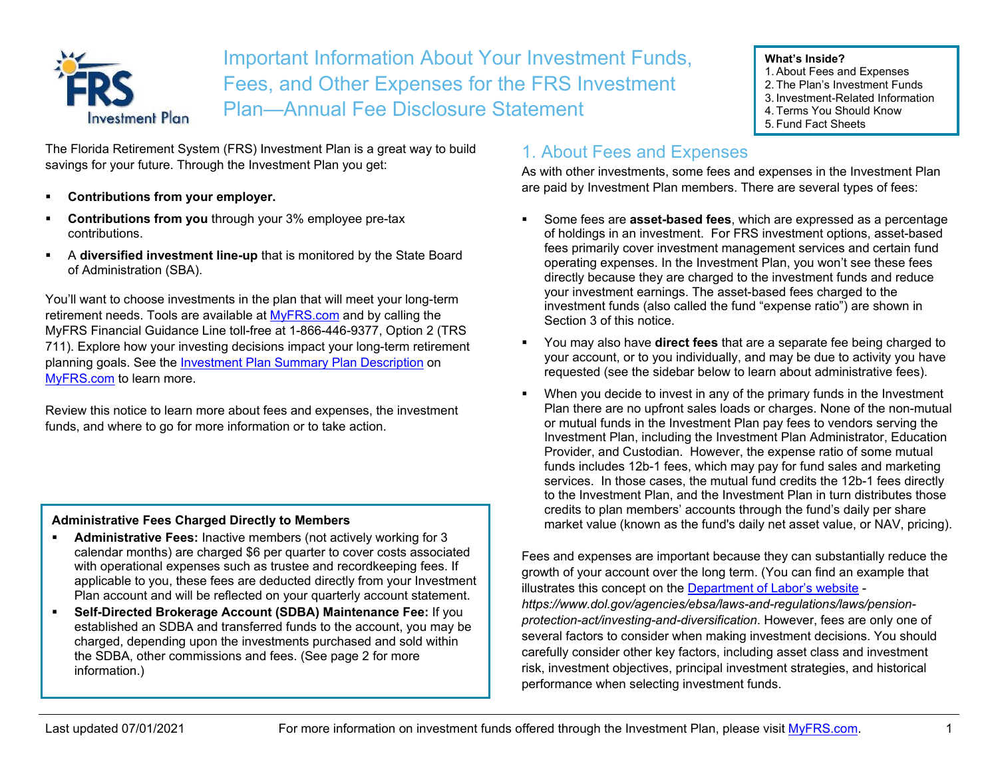

Important Information About Your Investment Funds, Fees, and Other Expenses for the FRS Investment Plan—Annual Fee Disclosure Statement

#### **What's Inside?**

- 1. About Fees and Expenses
- 2. The Plan's Investment Funds
- 3. Investment-Related Information
- 4. Terms You Should Know
- 5. Fund Fact Sheets

The Florida Retirement System (FRS) Investment Plan is a great way to build savings for your future. Through the Investment Plan you get:

- **Contributions from your employer.**
- **Contributions from you** through your 3% employee pre-tax contributions.
- A **diversified investment line-up** that is monitored by the State Board of Administration (SBA).

You'll want to choose investments in the plan that will meet your long-term retirement needs. Tools are available at [MyFRS.com](http://www.myfrs.com/) and by calling the MyFRS Financial Guidance Line toll-free at 1-866-446-9377, Option 2 (TRS 711). Explore how your investing decisions impact your long-term retirement planning goals. See the **Investment Plan Summary Plan Description on** [MyFRS.com](http://www.myfrs.com/) to learn more.

Review this notice to learn more about fees and expenses, the investment funds, and where to go for more information or to take action.

#### **Administrative Fees Charged Directly to Members**

- **Administrative Fees:** Inactive members (not actively working for 3 calendar months) are charged \$6 per quarter to cover costs associated with operational expenses such as trustee and recordkeeping fees. If applicable to you, these fees are deducted directly from your Investment Plan account and will be reflected on your quarterly account statement.
- **Self-Directed Brokerage Account (SDBA) Maintenance Fee:** If you established an SDBA and transferred funds to the account, you may be charged, depending upon the investments purchased and sold within the SDBA, other commissions and fees. (See page 2 for more information.)

### 1. About Fees and Expenses

As with other investments, some fees and expenses in the Investment Plan are paid by Investment Plan members. There are several types of fees:

- Some fees are **asset-based fees**, which are expressed as a percentage of holdings in an investment. For FRS investment options, asset-based fees primarily cover investment management services and certain fund operating expenses. In the Investment Plan, you won't see these fees directly because they are charged to the investment funds and reduce your investment earnings. The asset-based fees charged to the investment funds (also called the fund "expense ratio") are shown in Section 3 of this notice.
- You may also have **direct fees** that are a separate fee being charged to your account, or to you individually, and may be due to activity you have requested (see the sidebar below to learn about administrative fees).
- When you decide to invest in any of the primary funds in the Investment Plan there are no upfront sales loads or charges. None of the non-mutual or mutual funds in the Investment Plan pay fees to vendors serving the Investment Plan, including the Investment Plan Administrator, Education Provider, and Custodian. However, the expense ratio of some mutual funds includes 12b-1 fees, which may pay for fund sales and marketing services. In those cases, the mutual fund credits the 12b-1 fees directly to the Investment Plan, and the Investment Plan in turn distributes those credits to plan members' accounts through the fund's daily per share market value (known as the fund's daily net asset value, or NAV, pricing).

Fees and expenses are important because they can substantially reduce the growth of your account over the long term. (You can find an example that illustrates this concept on the [Department of Labor's website](https://www.dol.gov/agencies/ebsa/laws-and-regulations/laws/pension-protection-act/investing-and-diversification) *https://www.dol.gov/agencies/ebsa/laws-and-regulations/laws/pensionprotection-act/investing-and-diversification*. However, fees are only one of several factors to consider when making investment decisions. You should carefully consider other key factors, including asset class and investment risk, investment objectives, principal investment strategies, and historical performance when selecting investment funds.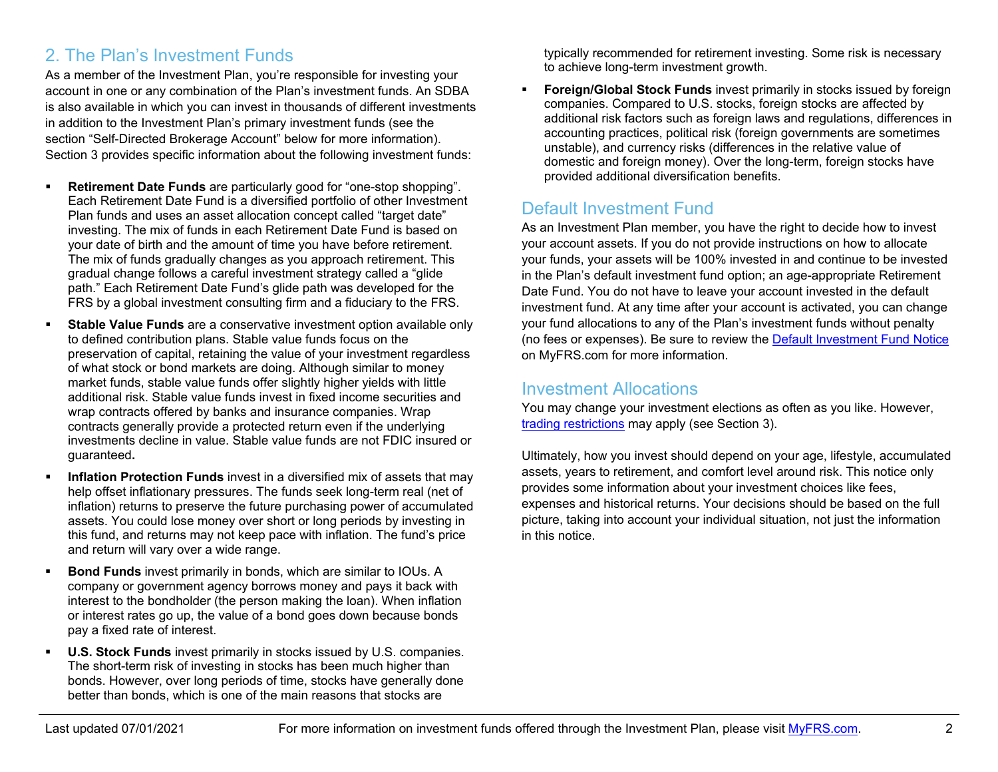## 2. The Plan's Investment Funds

As a member of the Investment Plan, you're responsible for investing your account in one or any combination of the Plan's investment funds. An SDBA is also available in which you can invest in thousands of different investments in addition to the Investment Plan's primary investment funds (see the section "Self-Directed Brokerage Account" below for more information). Section 3 provides specific information about the following investment funds:

- **Retirement Date Funds** are particularly good for "one-stop shopping". Each Retirement Date Fund is a diversified portfolio of other Investment Plan funds and uses an asset allocation concept called "target date" investing. The mix of funds in each Retirement Date Fund is based on your date of birth and the amount of time you have before retirement. The mix of funds gradually changes as you approach retirement. This gradual change follows a careful investment strategy called a "glide path." Each Retirement Date Fund's glide path was developed for the FRS by a global investment consulting firm and a fiduciary to the FRS.
- **Stable Value Funds** are a conservative investment option available only to defined contribution plans. Stable value funds focus on the preservation of capital, retaining the value of your investment regardless of what stock or bond markets are doing. Although similar to money market funds, stable value funds offer slightly higher yields with little additional risk. Stable value funds invest in fixed income securities and wrap contracts offered by banks and insurance companies. Wrap contracts generally provide a protected return even if the underlying investments decline in value. Stable value funds are not FDIC insured or guaranteed**.**
- **Inflation Protection Funds** invest in a diversified mix of assets that may help offset inflationary pressures. The funds seek long-term real (net of inflation) returns to preserve the future purchasing power of accumulated assets. You could lose money over short or long periods by investing in this fund, and returns may not keep pace with inflation. The fund's price and return will vary over a wide range.
- **Bond Funds** invest primarily in bonds, which are similar to IOUs. A company or government agency borrows money and pays it back with interest to the bondholder (the person making the loan). When inflation or interest rates go up, the value of a bond goes down because bonds pay a fixed rate of interest.
- **U.S. Stock Funds** invest primarily in stocks issued by U.S. companies. The short-term risk of investing in stocks has been much higher than bonds. However, over long periods of time, stocks have generally done better than bonds, which is one of the main reasons that stocks are

typically recommended for retirement investing. Some risk is necessary to achieve long-term investment growth.

 **Foreign/Global Stock Funds** invest primarily in stocks issued by foreign companies. Compared to U.S. stocks, foreign stocks are affected by additional risk factors such as foreign laws and regulations, differences in accounting practices, political risk (foreign governments are sometimes unstable), and currency risks (differences in the relative value of domestic and foreign money). Over the long-term, foreign stocks have provided additional diversification benefits.

# Default Investment Fund

As an Investment Plan member, you have the right to decide how to invest your account assets. If you do not provide instructions on how to allocate your funds, your assets will be 100% invested in and continue to be invested in the Plan's default investment fund option; an age-appropriate Retirement Date Fund. You do not have to leave your account invested in the default investment fund. At any time after your account is activated, you can change your fund allocations to any of the Plan's investment funds without penalty (no fees or expenses). Be sure to review the [Default Investment Fund Notice](https://www.myfrs.com/pdf/Default_Investment_Fund_Notice.pdf) on MyFRS.com for more information.

#### Investment Allocations

You may change your investment elections as often as you like. However, [trading restrictions](https://www.myfrs.com/pdf/funds/FRS_excessive_trading.pdf) may apply (see Section 3).

Ultimately, how you invest should depend on your age, lifestyle, accumulated assets, years to retirement, and comfort level around risk. This notice only provides some information about your investment choices like fees, expenses and historical returns. Your decisions should be based on the full picture, taking into account your individual situation, not just the information in this notice.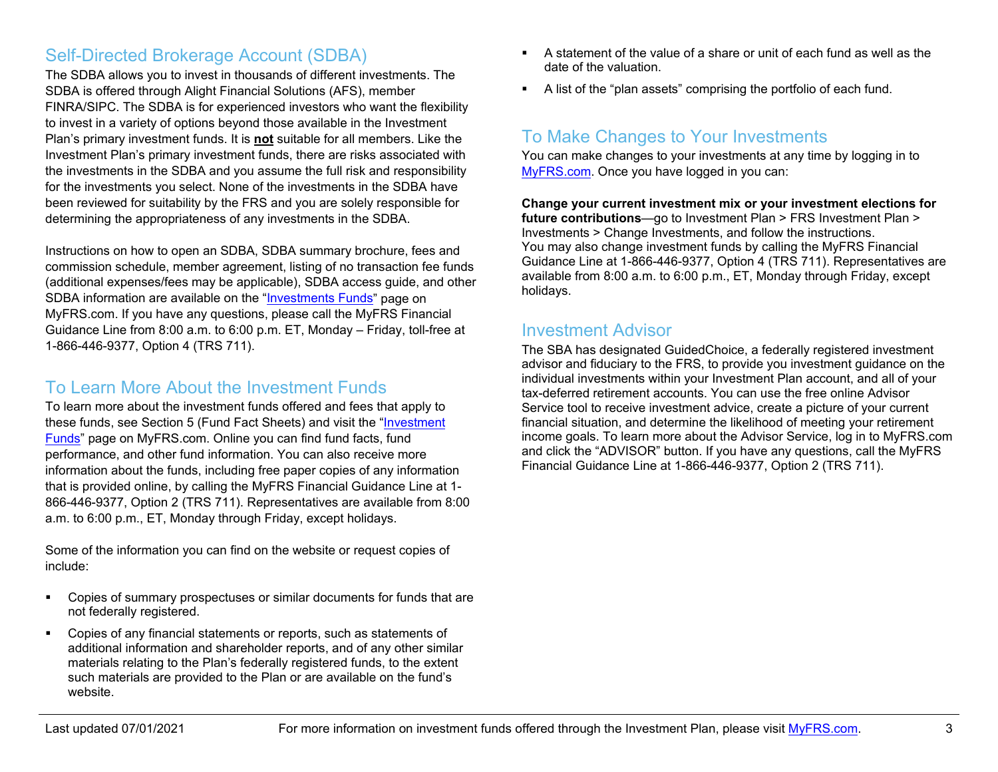### Self-Directed Brokerage Account (SDBA)

The SDBA allows you to invest in thousands of different investments. The SDBA is offered through Alight Financial Solutions (AFS), member FINRA/SIPC. The SDBA is for experienced investors who want the flexibility to invest in a variety of options beyond those available in the Investment Plan's primary investment funds. It is **not** suitable for all members. Like the Investment Plan's primary investment funds, there are risks associated with the investments in the SDBA and you assume the full risk and responsibility for the investments you select. None of the investments in the SDBA have been reviewed for suitability by the FRS and you are solely responsible for determining the appropriateness of any investments in the SDBA.

Instructions on how to open an SDBA, SDBA summary brochure, fees and commission schedule, member agreement, listing of no transaction fee funds (additional expenses/fees may be applicable), SDBA access guide, and other SDBA information are available on the ["Investments Funds"](https://www.myfrs.com/InvestmentFundTabs.htm) page on MyFRS.com. If you have any questions, please call the MyFRS Financial Guidance Line from 8:00 a.m. to 6:00 p.m. ET, Monday – Friday, toll-free at 1-866-446-9377, Option 4 (TRS 711).

### To Learn More About the Investment Funds

To learn more about the investment funds offered and fees that apply to these funds, see Section 5 (Fund Fact Sheets) and visit the ["Investment](https://www.myfrs.com/InvestmentFundTabs.htm)  [Funds"](https://www.myfrs.com/InvestmentFundTabs.htm) page on MyFRS.com. Online you can find fund facts, fund performance, and other fund information. You can also receive more information about the funds, including free paper copies of any information that is provided online, by calling the MyFRS Financial Guidance Line at 1- 866-446-9377, Option 2 (TRS 711). Representatives are available from 8:00 a.m. to 6:00 p.m., ET, Monday through Friday, except holidays.

Some of the information you can find on the website or request copies of include:

- Copies of summary prospectuses or similar documents for funds that are not federally registered.
- Copies of any financial statements or reports, such as statements of additional information and shareholder reports, and of any other similar materials relating to the Plan's federally registered funds, to the extent such materials are provided to the Plan or are available on the fund's website.
- A statement of the value of a share or unit of each fund as well as the date of the valuation.
- A list of the "plan assets" comprising the portfolio of each fund.

## To Make Changes to Your Investments

You can make changes to your investments at any time by logging in to [MyFRS.com.](http://www.myfrs.com/) Once you have logged in you can:

**Change your current investment mix or your investment elections for future contributions**—go to Investment Plan > FRS Investment Plan > Investments > Change Investments, and follow the instructions. You may also change investment funds by calling the MyFRS Financial Guidance Line at 1-866-446-9377, Option 4 (TRS 711). Representatives are available from 8:00 a.m. to 6:00 p.m., ET, Monday through Friday, except holidays.

#### Investment Advisor

The SBA has designated GuidedChoice, a federally registered investment advisor and fiduciary to the FRS, to provide you investment guidance on the individual investments within your Investment Plan account, and all of your tax-deferred retirement accounts. You can use the free online Advisor Service tool to receive investment advice, create a picture of your current financial situation, and determine the likelihood of meeting your retirement income goals. To learn more about the Advisor Service, log in to MyFRS.com and click the "ADVISOR" button. If you have any questions, call the MyFRS Financial Guidance Line at 1-866-446-9377, Option 2 (TRS 711).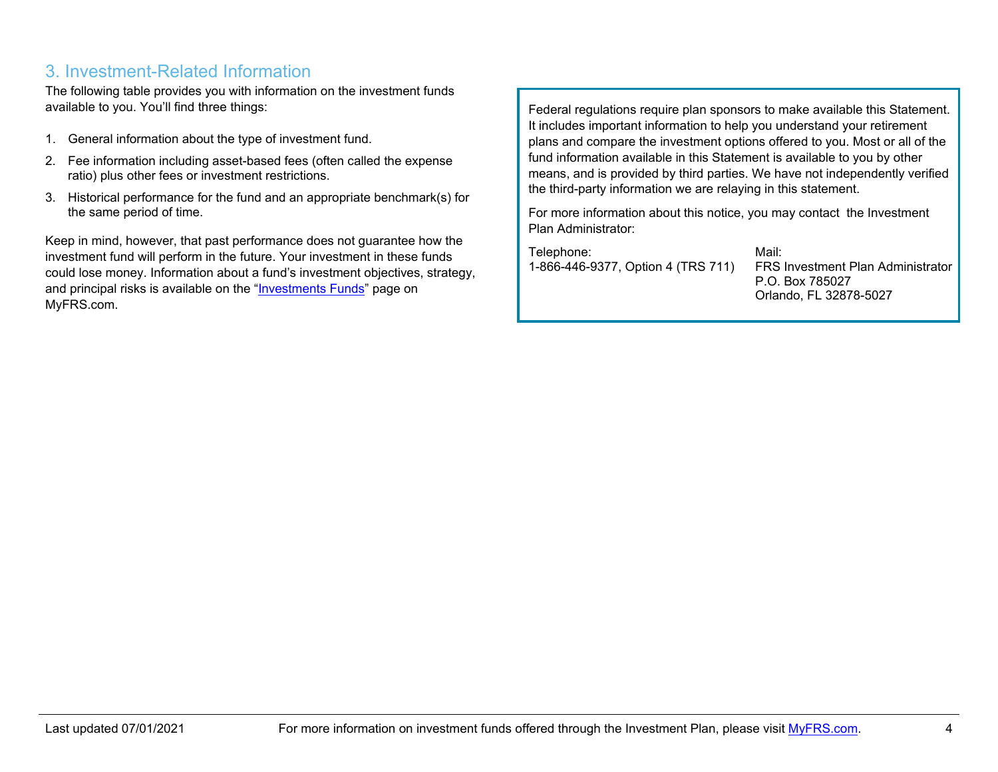### 3. Investment-Related Information

The following table provides you with information on the investment funds available to you. You'll find three things:

- 1. General information about the type of investment fund.
- 2. Fee information including asset-based fees (often called the expense ratio) plus other fees or investment restrictions.
- 3. Historical performance for the fund and an appropriate benchmark(s) for the same period of time.

Keep in mind, however, that past performance does not guarantee how the investment fund will perform in the future. Your investment in these funds could lose money. Information about a fund's investment objectives, strategy, and principal risks is available on the ["Investments Funds"](https://www.myfrs.com/InvestmentFundTabs.htm) page on MyFRS.com.

Federal regulations require plan sponsors to make available this Statement. It includes important information to help you understand your retirement plans and compare the investment options offered to you. Most or all of the fund information available in this Statement is available to you by other means, and is provided by third parties. We have not independently verified the third-party information we are relaying in this statement.

For more information about this notice, you may contact the Investment Plan Administrator:

Telephone: 1-866-446-9377, Option 4 (TRS 711) Mail: FRS Investment Plan Administrator P.O. Box 785027 Orlando, FL 32878-5027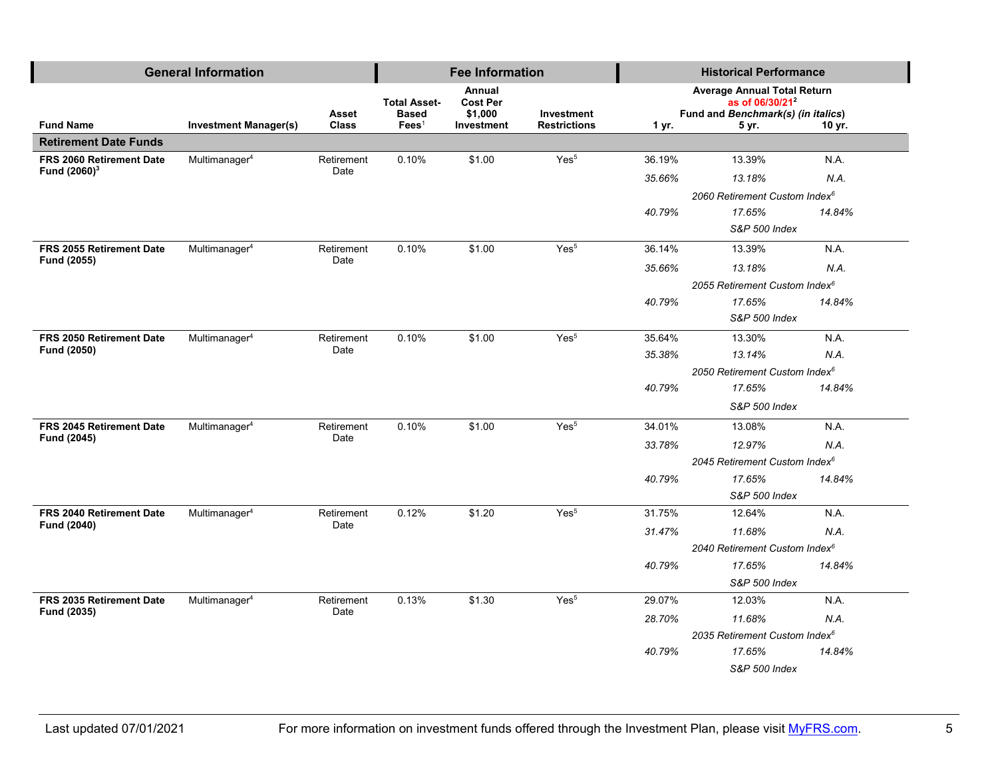|                                             | <b>General Information</b>   |                    |                     | <b>Fee Information</b>    |                     |                                           | <b>Historical Performance</b>                                     |        |  |
|---------------------------------------------|------------------------------|--------------------|---------------------|---------------------------|---------------------|-------------------------------------------|-------------------------------------------------------------------|--------|--|
|                                             |                              |                    | <b>Total Asset-</b> | Annual<br><b>Cost Per</b> |                     |                                           | <b>Average Annual Total Return</b><br>as of 06/30/21 <sup>2</sup> |        |  |
|                                             |                              | Asset              | <b>Based</b>        | \$1,000                   | Investment          |                                           | Fund and Benchmark(s) (in italics)                                |        |  |
| <b>Fund Name</b>                            | <b>Investment Manager(s)</b> | <b>Class</b>       | $\text{Fees}^1$     | Investment                | <b>Restrictions</b> | 1 yr.                                     | 5 yr.                                                             | 10 yr. |  |
| <b>Retirement Date Funds</b>                |                              |                    |                     |                           |                     |                                           |                                                                   |        |  |
| FRS 2060 Retirement Date<br>Fund $(2060)^3$ | Multimanager <sup>4</sup>    | Retirement<br>Date | 0.10%               | \$1.00                    | Yes <sup>5</sup>    | 36.19%                                    | 13.39%                                                            | N.A.   |  |
|                                             |                              |                    |                     |                           |                     | 35.66%                                    | 13.18%                                                            | N.A.   |  |
|                                             |                              |                    |                     |                           |                     |                                           | 2060 Retirement Custom Index <sup>6</sup>                         |        |  |
|                                             |                              |                    |                     |                           |                     | 40.79%                                    | 17.65%                                                            | 14.84% |  |
|                                             |                              |                    |                     |                           |                     |                                           | S&P 500 Index                                                     |        |  |
| FRS 2055 Retirement Date                    | Multimanager <sup>4</sup>    | Retirement<br>Date | 0.10%               | \$1.00                    | Yes <sup>5</sup>    | 36.14%                                    | 13.39%                                                            | NA.    |  |
| Fund (2055)                                 |                              |                    |                     |                           |                     | 35.66%                                    | 13.18%                                                            | N.A.   |  |
|                                             |                              |                    |                     |                           |                     |                                           | 2055 Retirement Custom Index <sup>6</sup>                         |        |  |
|                                             |                              |                    |                     |                           |                     | 40.79%                                    | 17.65%                                                            | 14.84% |  |
|                                             |                              |                    |                     |                           |                     |                                           | S&P 500 Index                                                     |        |  |
| <b>FRS 2050 Retirement Date</b>             | Multimanager <sup>4</sup>    | Retirement         | 0.10%               | \$1.00                    | Yes <sup>5</sup>    | 35.64%                                    | 13.30%                                                            | N.A.   |  |
| Fund (2050)                                 |                              | Date               |                     |                           |                     | 35.38%                                    | 13.14%                                                            | N.A.   |  |
|                                             |                              |                    |                     |                           |                     | 2050 Retirement Custom Index <sup>6</sup> |                                                                   |        |  |
|                                             |                              |                    |                     |                           |                     | 40.79%                                    | 17.65%                                                            | 14.84% |  |
|                                             |                              |                    |                     |                           |                     |                                           | S&P 500 Index                                                     |        |  |
| FRS 2045 Retirement Date                    | Multimanager <sup>4</sup>    | Retirement         | 0.10%               | \$1.00                    | Yes <sup>5</sup>    | 34.01%                                    | 13.08%                                                            | NA.    |  |
| Fund (2045)                                 |                              | Date               |                     |                           |                     | 33.78%                                    | 12.97%                                                            | N.A.   |  |
|                                             |                              |                    |                     |                           |                     | 2045 Retirement Custom Index <sup>6</sup> |                                                                   |        |  |
|                                             |                              |                    |                     |                           |                     | 40.79%                                    | 17.65%                                                            | 14.84% |  |
|                                             |                              |                    |                     |                           |                     |                                           | S&P 500 Index                                                     |        |  |
| FRS 2040 Retirement Date                    | Multimanager <sup>4</sup>    | Retirement         | 0.12%               | \$1.20                    | Yes <sup>5</sup>    | 31.75%                                    | 12.64%                                                            | NA.    |  |
| Fund (2040)                                 |                              | Date               |                     |                           |                     | 31.47%                                    | 11.68%                                                            | N.A.   |  |
|                                             |                              |                    |                     |                           |                     | 2040 Retirement Custom Index <sup>6</sup> |                                                                   |        |  |
|                                             |                              |                    |                     |                           |                     | 40.79%                                    | 17.65%                                                            | 14.84% |  |
|                                             |                              |                    |                     |                           |                     |                                           | S&P 500 Index                                                     |        |  |
| FRS 2035 Retirement Date                    | Multimanager <sup>4</sup>    | Retirement<br>Date | 0.13%               | \$1.30                    | Yes <sup>5</sup>    | 29.07%                                    | 12.03%                                                            | NA.    |  |
| Fund (2035)                                 |                              |                    |                     |                           |                     | 28.70%                                    | 11.68%                                                            | N.A.   |  |
|                                             |                              |                    |                     |                           |                     |                                           | 2035 Retirement Custom Index <sup>6</sup>                         |        |  |
|                                             |                              |                    |                     |                           |                     | 40.79%                                    | 17.65%                                                            | 14.84% |  |
|                                             |                              |                    |                     |                           |                     |                                           | S&P 500 Index                                                     |        |  |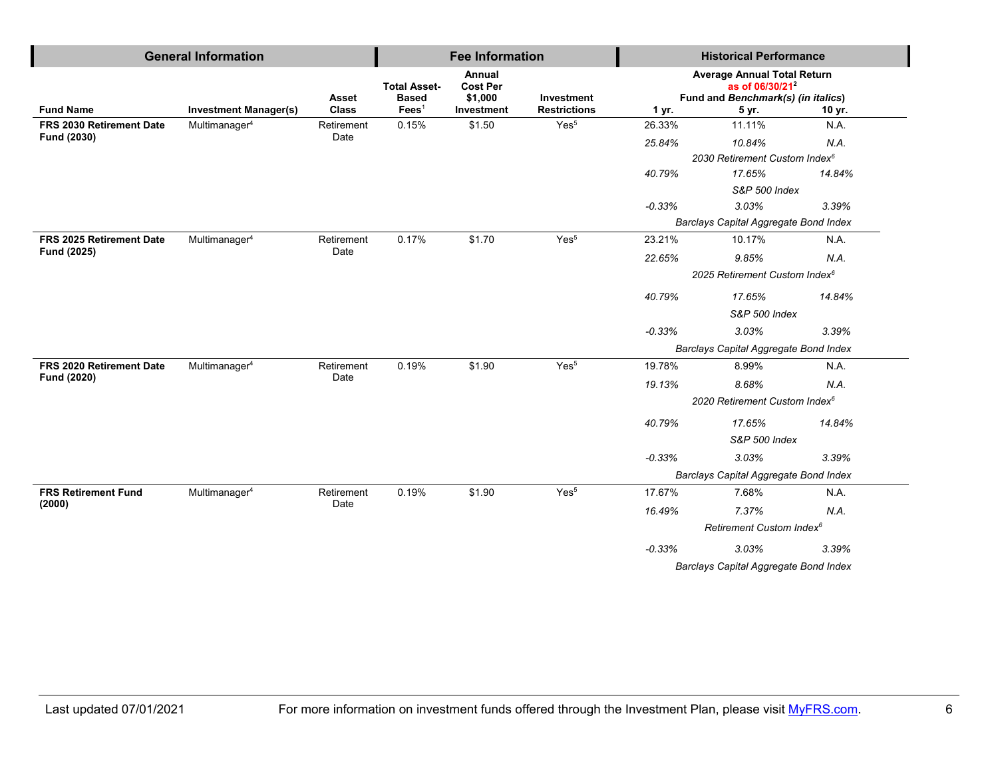| <b>General Information</b> |                              |                              |                                                        | <b>Fee Information</b>                             |                                   | <b>Historical Performance</b>             |                                                                                                                  |        |
|----------------------------|------------------------------|------------------------------|--------------------------------------------------------|----------------------------------------------------|-----------------------------------|-------------------------------------------|------------------------------------------------------------------------------------------------------------------|--------|
| <b>Fund Name</b>           | <b>Investment Manager(s)</b> | <b>Asset</b><br><b>Class</b> | <b>Total Asset-</b><br><b>Based</b><br>$\text{Fees}^1$ | Annual<br><b>Cost Per</b><br>\$1,000<br>Investment | Investment<br><b>Restrictions</b> | 1 yr.                                     | <b>Average Annual Total Return</b><br>as of 06/30/21 <sup>2</sup><br>Fund and Benchmark(s) (in italics)<br>5 yr. | 10 yr. |
| FRS 2030 Retirement Date   | Multimanager <sup>4</sup>    | Retirement                   | 0.15%                                                  | \$1.50                                             | Yes <sup>5</sup>                  | 26.33%                                    | 11.11%                                                                                                           | N.A.   |
| Fund (2030)                |                              | Date                         |                                                        |                                                    |                                   | 25.84%                                    | 10.84%                                                                                                           | N.A.   |
|                            |                              |                              |                                                        |                                                    |                                   |                                           | 2030 Retirement Custom Index <sup>6</sup>                                                                        |        |
|                            |                              |                              |                                                        |                                                    |                                   | 40.79%                                    | 17.65%                                                                                                           | 14.84% |
|                            |                              |                              |                                                        |                                                    |                                   |                                           | S&P 500 Index                                                                                                    |        |
|                            |                              |                              |                                                        |                                                    |                                   | $-0.33%$                                  | 3.03%                                                                                                            | 3.39%  |
|                            |                              |                              |                                                        |                                                    |                                   | Barclays Capital Aggregate Bond Index     |                                                                                                                  |        |
| FRS 2025 Retirement Date   | Multimanager <sup>4</sup>    | Retirement                   | 0.17%                                                  | \$1.70                                             | Yes <sup>5</sup>                  | 23.21%                                    | 10.17%                                                                                                           | N.A.   |
| Fund (2025)                |                              | Date                         |                                                        |                                                    |                                   | 22.65%                                    | 9.85%                                                                                                            | N.A.   |
|                            |                              |                              |                                                        |                                                    |                                   | 2025 Retirement Custom Index <sup>6</sup> |                                                                                                                  |        |
|                            |                              |                              |                                                        |                                                    |                                   | 40.79%                                    | 17.65%                                                                                                           | 14.84% |
|                            |                              |                              |                                                        |                                                    |                                   | S&P 500 Index                             |                                                                                                                  |        |
|                            |                              |                              |                                                        |                                                    |                                   | $-0.33%$                                  | 3.03%                                                                                                            | 3.39%  |
|                            |                              |                              |                                                        |                                                    |                                   |                                           | Barclays Capital Aggregate Bond Index                                                                            |        |
| FRS 2020 Retirement Date   | Multimanager <sup>4</sup>    | Retirement<br>Date           | 0.19%                                                  | \$1.90                                             | Yes <sup>5</sup>                  | 19.78%                                    | 8.99%                                                                                                            | N.A.   |
| Fund (2020)                |                              |                              |                                                        |                                                    |                                   | 19.13%                                    | 8.68%                                                                                                            | N.A.   |
|                            |                              |                              |                                                        |                                                    |                                   |                                           | 2020 Retirement Custom Index <sup>6</sup>                                                                        |        |
|                            |                              |                              |                                                        |                                                    |                                   | 40.79%                                    | 17.65%                                                                                                           | 14.84% |
|                            |                              |                              |                                                        |                                                    |                                   |                                           | S&P 500 Index                                                                                                    |        |
|                            |                              |                              |                                                        |                                                    |                                   | $-0.33%$                                  | 3.03%                                                                                                            | 3.39%  |
|                            |                              |                              |                                                        |                                                    |                                   |                                           | Barclays Capital Aggregate Bond Index                                                                            |        |
| <b>FRS Retirement Fund</b> | Multimanager <sup>4</sup>    | Retirement                   | 0.19%                                                  | \$1.90                                             | Yes <sup>5</sup>                  | 17.67%                                    | 7.68%                                                                                                            | N.A.   |
| (2000)                     |                              | Date                         |                                                        |                                                    |                                   | 16.49%                                    | 7.37%                                                                                                            | N.A.   |
|                            |                              |                              |                                                        |                                                    |                                   |                                           | Retirement Custom Index <sup>6</sup>                                                                             |        |
|                            |                              |                              |                                                        |                                                    |                                   | $-0.33%$                                  | 3.03%                                                                                                            | 3.39%  |
|                            |                              |                              |                                                        |                                                    |                                   |                                           | Barclays Capital Aggregate Bond Index                                                                            |        |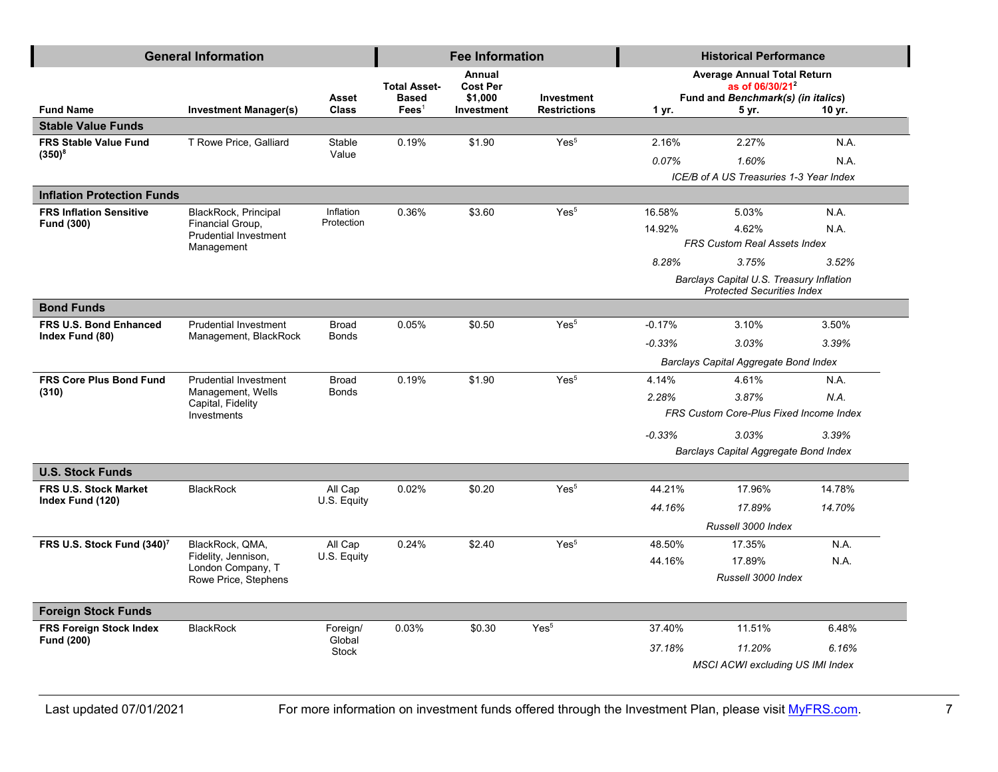|                                        | <b>General Information</b>                       |                        |                                                        | <b>Fee Information</b>                             |                                   | <b>Historical Performance</b>           |                                                                                                                  |        |
|----------------------------------------|--------------------------------------------------|------------------------|--------------------------------------------------------|----------------------------------------------------|-----------------------------------|-----------------------------------------|------------------------------------------------------------------------------------------------------------------|--------|
| <b>Fund Name</b>                       | <b>Investment Manager(s)</b>                     | Asset<br><b>Class</b>  | <b>Total Asset-</b><br><b>Based</b><br>$\text{Fees}^1$ | Annual<br><b>Cost Per</b><br>\$1,000<br>Investment | Investment<br><b>Restrictions</b> | 1 yr.                                   | <b>Average Annual Total Return</b><br>as of 06/30/21 <sup>2</sup><br>Fund and Benchmark(s) (in italics)<br>5 yr. | 10 yr. |
| <b>Stable Value Funds</b>              |                                                  |                        |                                                        |                                                    |                                   |                                         |                                                                                                                  |        |
| <b>FRS Stable Value Fund</b>           | T Rowe Price, Galliard                           | Stable                 | 0.19%                                                  | \$1.90                                             | Yes <sup>5</sup>                  | 2.16%                                   | 2.27%                                                                                                            | N.A.   |
| $(350)^8$                              |                                                  | Value                  |                                                        |                                                    |                                   | 0.07%                                   | 1.60%                                                                                                            | N.A.   |
|                                        |                                                  |                        |                                                        |                                                    |                                   |                                         | ICE/B of A US Treasuries 1-3 Year Index                                                                          |        |
| <b>Inflation Protection Funds</b>      |                                                  |                        |                                                        |                                                    |                                   |                                         |                                                                                                                  |        |
| <b>FRS Inflation Sensitive</b>         | BlackRock, Principal                             | Inflation              | 0.36%                                                  | \$3.60                                             | Yes <sup>5</sup>                  | 16.58%                                  | 5.03%                                                                                                            | N.A.   |
| Fund (300)                             | Financial Group,<br><b>Prudential Investment</b> | Protection             |                                                        |                                                    |                                   | 14.92%                                  | 4.62%                                                                                                            | N.A.   |
|                                        | Management                                       |                        |                                                        |                                                    |                                   |                                         | <b>FRS Custom Real Assets Index</b>                                                                              |        |
|                                        |                                                  |                        |                                                        |                                                    |                                   | 8.28%                                   | 3.75%                                                                                                            | 3.52%  |
|                                        |                                                  |                        |                                                        |                                                    |                                   |                                         | Barclays Capital U.S. Treasury Inflation<br><b>Protected Securities Index</b>                                    |        |
| <b>Bond Funds</b>                      |                                                  |                        |                                                        |                                                    |                                   |                                         |                                                                                                                  |        |
| <b>FRS U.S. Bond Enhanced</b>          | <b>Prudential Investment</b>                     | <b>Broad</b>           | 0.05%                                                  | \$0.50                                             | Yes <sup>5</sup>                  | $-0.17%$                                | 3.10%                                                                                                            | 3.50%  |
| Index Fund (80)                        | Management, BlackRock                            | <b>Bonds</b>           |                                                        |                                                    |                                   | $-0.33%$                                | 3.03%                                                                                                            | 3.39%  |
|                                        |                                                  |                        |                                                        |                                                    |                                   |                                         | Barclays Capital Aggregate Bond Index                                                                            |        |
| FRS Core Plus Bond Fund                | <b>Prudential Investment</b>                     | <b>Broad</b>           | 0.19%                                                  | \$1.90                                             | Yes <sup>5</sup>                  | 4.14%                                   | 4.61%                                                                                                            | N.A.   |
| (310)                                  | Management, Wells<br>Capital, Fidelity           | <b>Bonds</b>           |                                                        |                                                    |                                   | 2.28%                                   | 3.87%                                                                                                            | N.A.   |
|                                        | Investments                                      |                        |                                                        |                                                    |                                   | FRS Custom Core-Plus Fixed Income Index |                                                                                                                  |        |
|                                        |                                                  |                        |                                                        |                                                    |                                   | $-0.33%$                                | 3.03%                                                                                                            | 3.39%  |
|                                        |                                                  |                        |                                                        |                                                    |                                   |                                         | Barclays Capital Aggregate Bond Index                                                                            |        |
| <b>U.S. Stock Funds</b>                |                                                  |                        |                                                        |                                                    |                                   |                                         |                                                                                                                  |        |
| <b>FRS U.S. Stock Market</b>           | <b>BlackRock</b>                                 | All Cap                | 0.02%                                                  | \$0.20                                             | Yes <sup>5</sup>                  | 44.21%                                  | 17.96%                                                                                                           | 14.78% |
| Index Fund (120)                       |                                                  | U.S. Equity            |                                                        |                                                    |                                   | 44.16%                                  | 17.89%                                                                                                           | 14.70% |
|                                        |                                                  |                        |                                                        |                                                    |                                   |                                         | Russell 3000 Index                                                                                               |        |
| FRS U.S. Stock Fund (340) <sup>7</sup> | BlackRock, QMA,                                  | All Cap                | 0.24%                                                  | \$2.40                                             | Yes <sup>5</sup>                  | 48.50%                                  | 17.35%                                                                                                           | N.A.   |
|                                        | Fidelity, Jennison,<br>London Company, T         | U.S. Equity            |                                                        |                                                    |                                   | 44.16%                                  | 17.89%                                                                                                           | N.A.   |
|                                        | Rowe Price, Stephens                             |                        |                                                        |                                                    |                                   |                                         | Russell 3000 Index                                                                                               |        |
| <b>Foreign Stock Funds</b>             |                                                  |                        |                                                        |                                                    |                                   |                                         |                                                                                                                  |        |
| <b>FRS Foreign Stock Index</b>         | <b>BlackRock</b>                                 | Foreign/               | 0.03%                                                  | \$0.30                                             | Yes <sup>5</sup>                  | 37.40%                                  | 11.51%                                                                                                           | 6.48%  |
| Fund (200)                             |                                                  | Global<br><b>Stock</b> |                                                        |                                                    |                                   | 37.18%                                  | 11.20%                                                                                                           | 6.16%  |
|                                        |                                                  |                        |                                                        |                                                    |                                   |                                         | <b>MSCI ACWI excluding US IMI Index</b>                                                                          |        |
|                                        |                                                  |                        |                                                        |                                                    |                                   |                                         |                                                                                                                  |        |

Last updated 07/01/2021 For more information on investment funds offered through the Investment Plan, please visit **MyFRS.com.** 7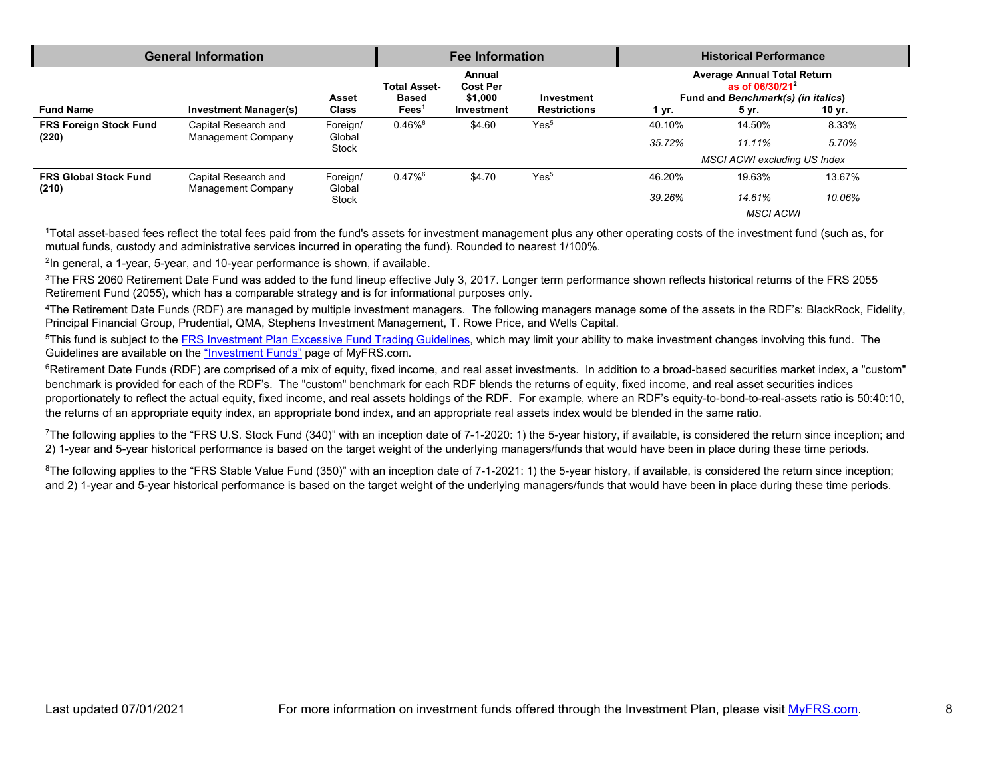| <b>General Information</b>             |                                                   | <b>Fee Information</b>             |                                                        | <b>Historical Performance</b>                      |                                   |                  |                                                                                                         |                |
|----------------------------------------|---------------------------------------------------|------------------------------------|--------------------------------------------------------|----------------------------------------------------|-----------------------------------|------------------|---------------------------------------------------------------------------------------------------------|----------------|
| <b>Fund Name</b>                       | <b>Investment Manager(s)</b>                      | Asset<br><b>Class</b>              | <b>Total Asset-</b><br><b>Based</b><br>$\text{Fees}^1$ | Annual<br><b>Cost Per</b><br>\$1.000<br>Investment | Investment<br><b>Restrictions</b> | 1 yr.            | <b>Average Annual Total Return</b><br>as of $06/30/21^2$<br>Fund and Benchmark(s) (in italics)<br>5 yr. | 10 yr.         |
| <b>FRS Foreign Stock Fund</b><br>(220) | Capital Research and<br><b>Management Company</b> | Foreign/<br>Global<br><b>Stock</b> | $0.46\%$ <sup>6</sup>                                  | \$4.60                                             | Yes <sup>5</sup>                  | 40.10%<br>35.72% | 14.50%<br>$11.11\%$                                                                                     | 8.33%<br>5.70% |
|                                        |                                                   |                                    |                                                        |                                                    |                                   |                  | <b>MSCI ACWI excluding US Index</b>                                                                     |                |
| <b>FRS Global Stock Fund</b><br>(210)  | Capital Research and<br>Management Company        | Foreign/<br>Global                 | $0.47\%$ <sup>6</sup>                                  | \$4.70                                             | Yes <sup>5</sup>                  | 46.20%           | 19.63%                                                                                                  | 13.67%         |
|                                        |                                                   | <b>Stock</b>                       |                                                        |                                                    |                                   | 39.26%           | 14.61%                                                                                                  | 10.06%         |
|                                        |                                                   |                                    |                                                        |                                                    |                                   |                  | <b>MSCI ACWI</b>                                                                                        |                |

1Total asset-based fees reflect the total fees paid from the fund's assets for investment management plus any other operating costs of the investment fund (such as, for mutual funds, custody and administrative services incurred in operating the fund). Rounded to nearest 1/100%.

<sup>2</sup>In general, a 1-year, 5-year, and 10-year performance is shown, if available.

<sup>3</sup>The FRS 2060 Retirement Date Fund was added to the fund lineup effective July 3, 2017. Longer term performance shown reflects historical returns of the FRS 2055 Retirement Fund (2055), which has a comparable strategy and is for informational purposes only.

4The Retirement Date Funds (RDF) are managed by multiple investment managers. The following managers manage some of the assets in the RDF's: BlackRock, Fidelity, Principal Financial Group, Prudential, QMA, Stephens Investment Management, T. Rowe Price, and Wells Capital.

<sup>5</sup>This fund is subject to the [FRS Investment Plan Excessive Fund Trading Guidelines,](https://www.myfrs.com/pdf/funds/FRS_excessive_trading.pdf) which may limit your ability to make investment changes involving this fund. The Guidelines are available on the ["Investment Funds"](http://www.myfrs.com/InvestmentFundTabs.htm) page of MyFRS.com.

<sup>6</sup>Retirement Date Funds (RDF) are comprised of a mix of equity, fixed income, and real asset investments. In addition to a broad-based securities market index, a "custom" benchmark is provided for each of the RDF's. The "custom" benchmark for each RDF blends the returns of equity, fixed income, and real asset securities indices proportionately to reflect the actual equity, fixed income, and real assets holdings of the RDF. For example, where an RDF's equity-to-bond-to-real-assets ratio is 50:40:10, the returns of an appropriate equity index, an appropriate bond index, and an appropriate real assets index would be blended in the same ratio.

<sup>7</sup>The following applies to the "FRS U.S. Stock Fund (340)" with an inception date of 7-1-2020: 1) the 5-year history, if available, is considered the return since inception; and 2) 1-year and 5-year historical performance is based on the target weight of the underlying managers/funds that would have been in place during these time periods.

<sup>8</sup>The following applies to the "FRS Stable Value Fund (350)" with an inception date of 7-1-2021: 1) the 5-year history, if available, is considered the return since inception; and 2) 1-year and 5-year historical performance is based on the target weight of the underlying managers/funds that would have been in place during these time periods.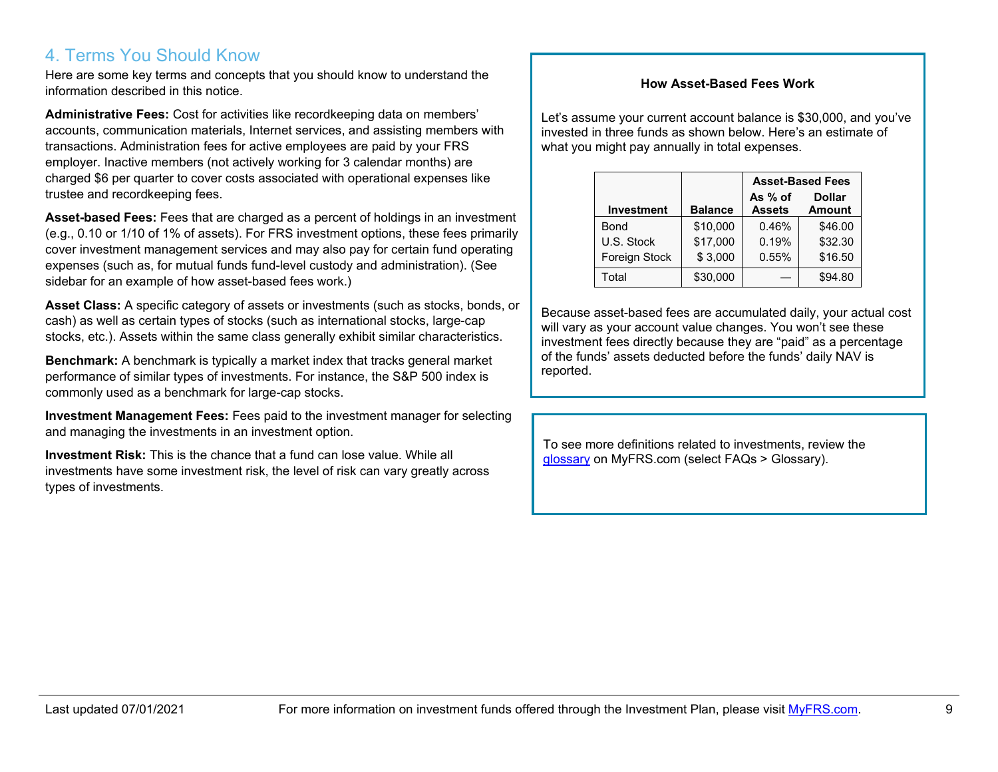## 4. Terms You Should Know

Here are some key terms and concepts that you should know to understand the information described in this notice.

**Administrative Fees:** Cost for activities like recordkeeping data on members' accounts, communication materials, Internet services, and assisting members with transactions. Administration fees for active employees are paid by your FRS employer. Inactive members (not actively working for 3 calendar months) are charged \$6 per quarter to cover costs associated with operational expenses like trustee and recordkeeping fees.

**Asset-based Fees:** Fees that are charged as a percent of holdings in an investment (e.g., 0.10 or 1/10 of 1% of assets). For FRS investment options, these fees primarily cover investment management services and may also pay for certain fund operating expenses (such as, for mutual funds fund-level custody and administration). (See sidebar for an example of how asset-based fees work.)

**Asset Class:** A specific category of assets or investments (such as stocks, bonds, or cash) as well as certain types of stocks (such as international stocks, large-cap stocks, etc.). Assets within the same class generally exhibit similar characteristics.

**Benchmark:** A benchmark is typically a market index that tracks general market performance of similar types of investments. For instance, the S&P 500 index is commonly used as a benchmark for large-cap stocks.

**Investment Management Fees:** Fees paid to the investment manager for selecting and managing the investments in an investment option.

**Investment Risk:** This is the chance that a fund can lose value. While all investments have some investment risk, the level of risk can vary greatly across types of investments.

#### **How Asset-Based Fees Work**

Let's assume your current account balance is \$30,000, and you've invested in three funds as shown below. Here's an estimate of what you might pay annually in total expenses.

|                   |                |                            | <b>Asset-Based Fees</b>        |
|-------------------|----------------|----------------------------|--------------------------------|
| <b>Investment</b> | <b>Balance</b> | As $%$ of<br><b>Assets</b> | <b>Dollar</b><br><b>Amount</b> |
| Bond              | \$10,000       | 0.46%                      | \$46.00                        |
| U.S. Stock        | \$17,000       | 0.19%                      | \$32.30                        |
| Foreign Stock     | \$3,000        | 0.55%                      | \$16.50                        |
| Total             | \$30,000       |                            | \$94.80                        |

Because asset-based fees are accumulated daily, your actual cost will vary as your account value changes. You won't see these investment fees directly because they are "paid" as a percentage of the funds' assets deducted before the funds' daily NAV is reported.

To see more definitions related to investments, review the [glossary](https://www.myfrs.com/Glossary.htm) on MyFRS.com (select FAQs > Glossary).